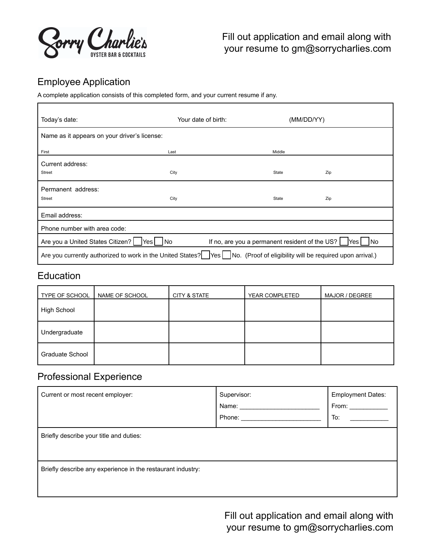

# Employee Application

h

A complete application consists of this completed form, and your current resume if any.

| Today's date:                                                                                                                          | Your date of birth: | (MM/DD/YY) |     |
|----------------------------------------------------------------------------------------------------------------------------------------|---------------------|------------|-----|
| Name as it appears on your driver's license:                                                                                           |                     |            |     |
| First                                                                                                                                  | Last                | Middle     |     |
| Current address:<br><b>Street</b>                                                                                                      | City                | State      | Zip |
| Permanent address:<br><b>Street</b>                                                                                                    | City                | State      | Zip |
| Email address:                                                                                                                         |                     |            |     |
| Phone number with area code:                                                                                                           |                     |            |     |
| Are you a United States Citizen?<br>If no, are you a permanent resident of the US?<br><b>INo</b><br>N <sub>o</sub><br>lYes l<br>lYes l |                     |            |     |
| No. (Proof of eligibility will be required upon arrival.)<br>Are you currently authorized to work in the United States?<br><b>Yes</b>  |                     |            |     |

### Education

| TYPE OF SCHOOL     | NAME OF SCHOOL | <b>CITY &amp; STATE</b> | YEAR COMPLETED | MAJOR / DEGREE |
|--------------------|----------------|-------------------------|----------------|----------------|
| <b>High School</b> |                |                         |                |                |
| Undergraduate      |                |                         |                |                |
| Graduate School    |                |                         |                |                |

## Professional Experience

| Current or most recent employer:                            | Supervisor:<br>Name:<br>Phone: | <b>Employment Dates:</b><br>From:<br>To: |  |  |  |
|-------------------------------------------------------------|--------------------------------|------------------------------------------|--|--|--|
| Briefly describe your title and duties:                     |                                |                                          |  |  |  |
| Briefly describe any experience in the restaurant industry: |                                |                                          |  |  |  |

Fill out application and email along with your resume to gm@sorrycharlies.com